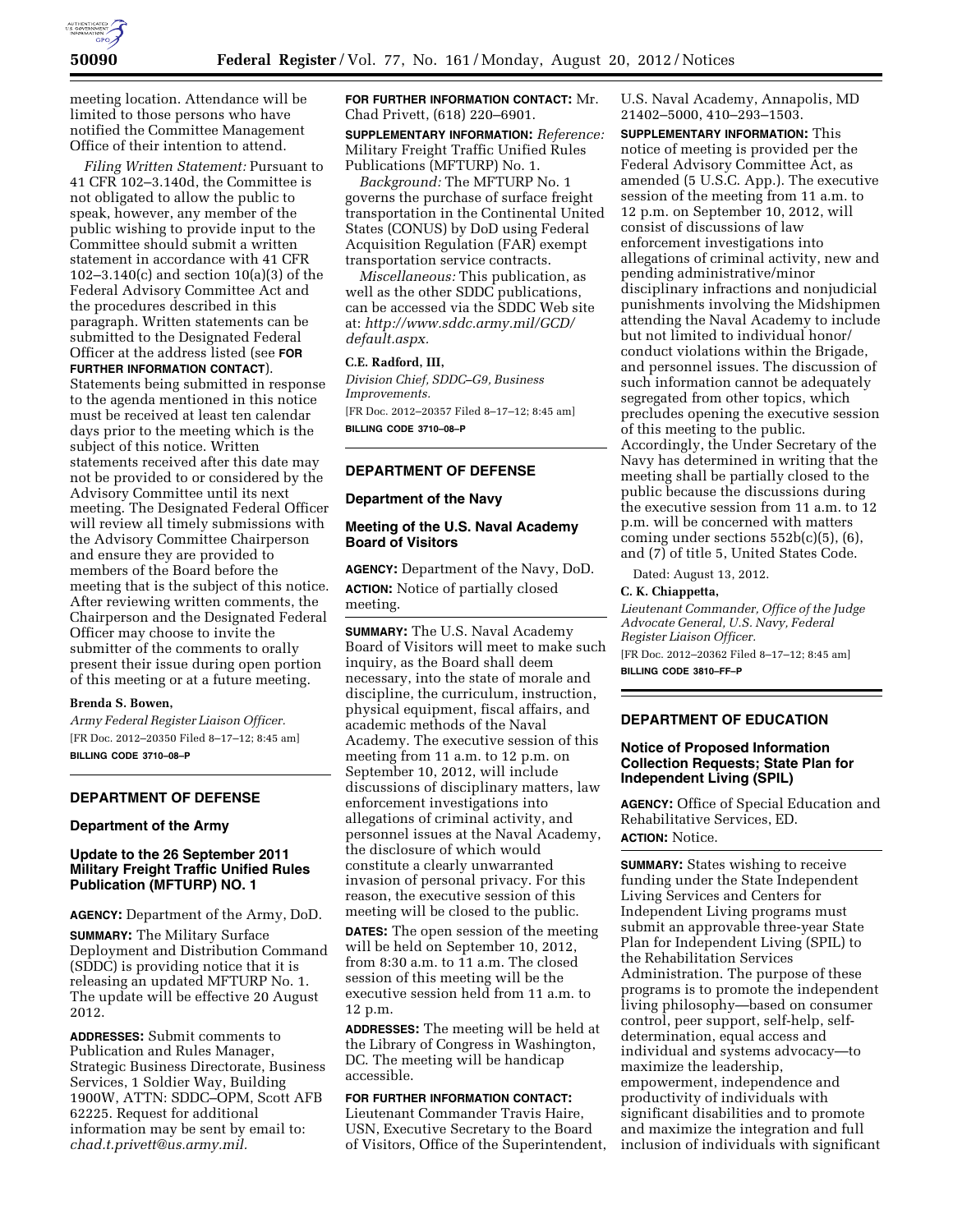

meeting location. Attendance will be limited to those persons who have notified the Committee Management Office of their intention to attend.

*Filing Written Statement:* Pursuant to 41 CFR 102–3.140d, the Committee is not obligated to allow the public to speak, however, any member of the public wishing to provide input to the Committee should submit a written statement in accordance with 41 CFR 102–3.140(c) and section 10(a)(3) of the Federal Advisory Committee Act and the procedures described in this paragraph. Written statements can be submitted to the Designated Federal Officer at the address listed (see **FOR FURTHER INFORMATION CONTACT**).

Statements being submitted in response to the agenda mentioned in this notice must be received at least ten calendar days prior to the meeting which is the subject of this notice. Written statements received after this date may not be provided to or considered by the Advisory Committee until its next meeting. The Designated Federal Officer will review all timely submissions with the Advisory Committee Chairperson and ensure they are provided to members of the Board before the meeting that is the subject of this notice. After reviewing written comments, the Chairperson and the Designated Federal Officer may choose to invite the submitter of the comments to orally present their issue during open portion of this meeting or at a future meeting.

### **Brenda S. Bowen,**

*Army Federal Register Liaison Officer.*  [FR Doc. 2012–20350 Filed 8–17–12; 8:45 am] **BILLING CODE 3710–08–P** 

## **DEPARTMENT OF DEFENSE**

## **Department of the Army**

# **Update to the 26 September 2011 Military Freight Traffic Unified Rules Publication (MFTURP) NO. 1**

**AGENCY:** Department of the Army, DoD.

**SUMMARY:** The Military Surface Deployment and Distribution Command (SDDC) is providing notice that it is releasing an updated MFTURP No. 1. The update will be effective 20 August 2012.

**ADDRESSES:** Submit comments to Publication and Rules Manager, Strategic Business Directorate, Business Services, 1 Soldier Way, Building 1900W, ATTN: SDDC–OPM, Scott AFB 62225. Request for additional information may be sent by email to: *[chad.t.privett@us.army.mil.](mailto:chad.t.privett@us.army.mil)* 

**FOR FURTHER INFORMATION CONTACT:** Mr. Chad Privett, (618) 220–6901.

**SUPPLEMENTARY INFORMATION:** *Reference:*  Military Freight Traffic Unified Rules Publications (MFTURP) No. 1.

*Background:* The MFTURP No. 1 governs the purchase of surface freight transportation in the Continental United States (CONUS) by DoD using Federal Acquisition Regulation (FAR) exempt transportation service contracts.

*Miscellaneous:* This publication, as well as the other SDDC publications, can be accessed via the SDDC Web site at: *[http://www.sddc.army.mil/GCD/](http://www.sddc.army.mil/GCD/default.aspx) [default.aspx.](http://www.sddc.army.mil/GCD/default.aspx)* 

### **C.E. Radford, III,**

*Division Chief, SDDC–G9, Business Improvements.*  [FR Doc. 2012–20357 Filed 8–17–12; 8:45 am]

**BILLING CODE 3710–08–P** 

# **DEPARTMENT OF DEFENSE**

#### **Department of the Navy**

# **Meeting of the U.S. Naval Academy Board of Visitors**

**AGENCY:** Department of the Navy, DoD. **ACTION:** Notice of partially closed meeting.

**SUMMARY:** The U.S. Naval Academy Board of Visitors will meet to make such inquiry, as the Board shall deem necessary, into the state of morale and discipline, the curriculum, instruction, physical equipment, fiscal affairs, and academic methods of the Naval Academy. The executive session of this meeting from 11 a.m. to 12 p.m. on September 10, 2012, will include discussions of disciplinary matters, law enforcement investigations into allegations of criminal activity, and personnel issues at the Naval Academy, the disclosure of which would constitute a clearly unwarranted invasion of personal privacy. For this reason, the executive session of this meeting will be closed to the public.

**DATES:** The open session of the meeting will be held on September 10, 2012, from 8:30 a.m. to 11 a.m. The closed session of this meeting will be the executive session held from 11 a.m. to 12 p.m.

**ADDRESSES:** The meeting will be held at the Library of Congress in Washington, DC. The meeting will be handicap accessible.

## **FOR FURTHER INFORMATION CONTACT:**

Lieutenant Commander Travis Haire, USN, Executive Secretary to the Board of Visitors, Office of the Superintendent, U.S. Naval Academy, Annapolis, MD 21402–5000, 410–293–1503.

**SUPPLEMENTARY INFORMATION:** This notice of meeting is provided per the Federal Advisory Committee Act, as amended (5 U.S.C. App.). The executive session of the meeting from 11 a.m. to 12 p.m. on September 10, 2012, will consist of discussions of law enforcement investigations into allegations of criminal activity, new and pending administrative/minor disciplinary infractions and nonjudicial punishments involving the Midshipmen attending the Naval Academy to include but not limited to individual honor/ conduct violations within the Brigade, and personnel issues. The discussion of such information cannot be adequately segregated from other topics, which precludes opening the executive session of this meeting to the public. Accordingly, the Under Secretary of the Navy has determined in writing that the meeting shall be partially closed to the public because the discussions during the executive session from 11 a.m. to 12 p.m. will be concerned with matters coming under sections  $552b(c)(5)$ ,  $(6)$ , and (7) of title 5, United States Code.

Dated: August 13, 2012.

## **C. K. Chiappetta,**

*Lieutenant Commander, Office of the Judge Advocate General, U.S. Navy, Federal Register Liaison Officer.*  [FR Doc. 2012–20362 Filed 8–17–12; 8:45 am]

**BILLING CODE 3810–FF–P** 

## **DEPARTMENT OF EDUCATION**

## **Notice of Proposed Information Collection Requests; State Plan for Independent Living (SPIL)**

**AGENCY:** Office of Special Education and Rehabilitative Services, ED. **ACTION:** Notice.

**SUMMARY:** States wishing to receive funding under the State Independent Living Services and Centers for Independent Living programs must submit an approvable three-year State Plan for Independent Living (SPIL) to the Rehabilitation Services Administration. The purpose of these programs is to promote the independent living philosophy—based on consumer control, peer support, self-help, selfdetermination, equal access and individual and systems advocacy—to maximize the leadership, empowerment, independence and productivity of individuals with significant disabilities and to promote and maximize the integration and full inclusion of individuals with significant